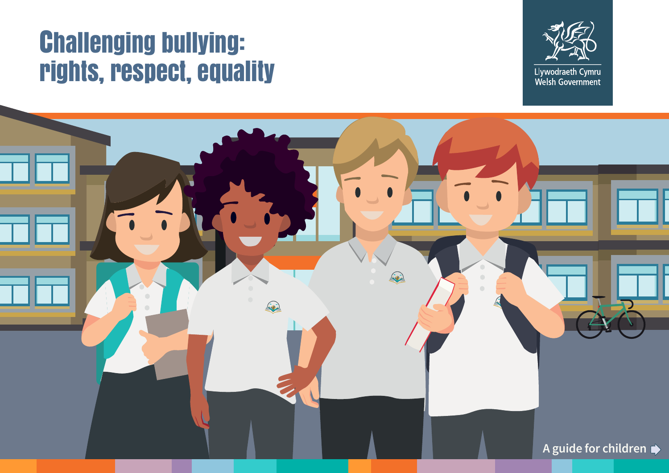## Challenging bullying: rights, respect, equality



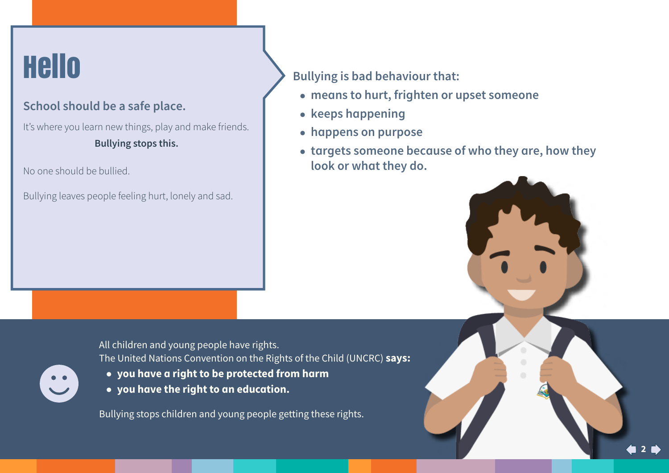# **Hello**

#### **School should be a safe place.**

It's where you learn new things, play and make friends. **Bullying stops this.** 

No one should be bullied.

 $\bullet$ 

Bullying leaves people feeling hurt, lonely and sad.

**Bullying is bad behaviour that:** 

- **● means to hurt, frighten or upset someone**
- **● keeps happening**
- **● happens on purpose**
- **● targets someone because of who they are, how they look or what they do.**

All children and young people have rights. The United Nations Convention on the Rights of the Child (UNCRC) **says:**

- **you have a right to be protected from harm**
- **you have the right to an education.**

Bullying stops children and young people getting these rights.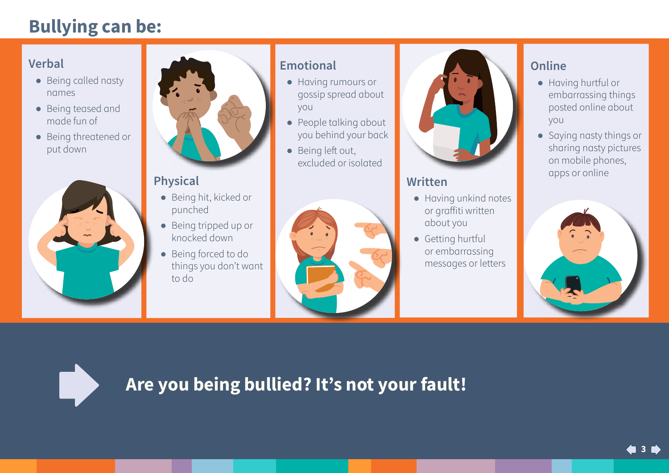### **Bullying can be:**

#### **Verbal**

- **●** Being called nasty names
- **●** Being teased and made fun of
- **●** Being threatened or put down





#### **Physical**

- **●** Being hit, kicked or punched
- **●** Being tripped up or knocked down
- **●** Being forced to do things you don't want to do

#### **Emotional**

- **●** Having rumours or gossip spread about you
- **●** People talking about you behind your back
- **●** Being left out, excluded or isolated





#### **Written**

- **●** Having unkind notes or graffiti written about you
- **●** Getting hurtful or embarrassing messages or letters

#### **Online**

- **●** Having hurtful or embarrassing things posted online about you
- **●** Saying nasty things or sharing nasty pictures on mobile phones, apps or online





### **Are you being bullied? It's not your fault!**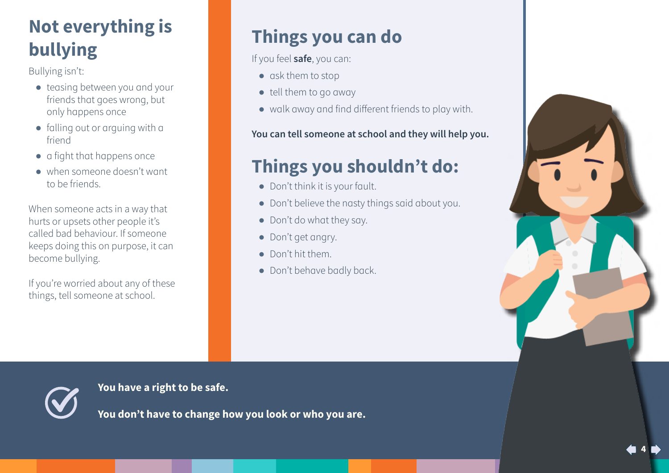## **Not everything is bullying**

Bullying isn't:

- **●** teasing between you and your friends that goes wrong, but only happens once
- **●** falling out or arguing with a friend
- **●** a fight that happens once
- **●** when someone doesn't want to be friends.

When someone acts in a way that hurts or upsets other people it's called bad behaviour. If someone keeps doing this on purpose, it can become bullying.

If you're worried about any of these things, tell someone at school.

## **Things you can do**

If you feel **safe**, you can:

- **●** ask them to stop
- **●** tell them to go away
- **●** walk away and find different friends to play with.

**You can tell someone at school and they will help you.** 

### **Things you shouldn't do:**

- **●** Don't think it is your fault.
- **●** Don't believe the nasty things said about you.
- **●** Don't do what they say.
- **●** Don't get angry.
- **●** Don't hit them.
- **●** Don't behave badly back.





**You have a right to be safe.**

**You don't have to change how you look or who you are.**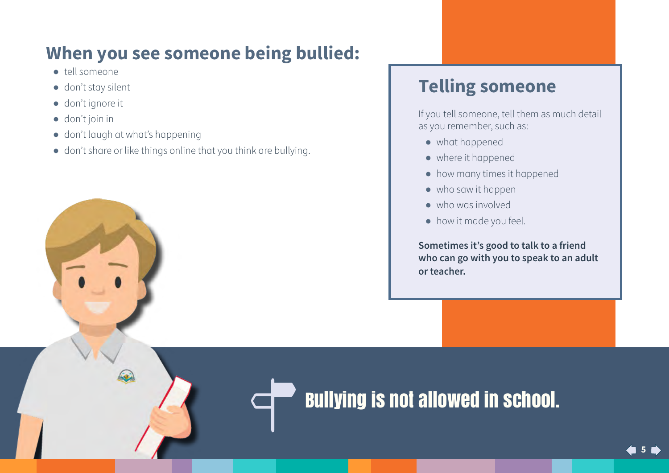## **When you see someone being bullied:**

- **●** tell someone
- **●** don't stay silent
- **●** don't ignore it
- **●** don't join in
- **●** don't laugh at what's happening
- **●** don't share or like things online that you think are bullying.

### **Telling someone**

If you tell someone, tell them as much detail as you remember, such as:

- **●** what happened
- **●** where it happened
- **●** how many times it happened
- **●** who saw it happen
- **●** who was involved
- **●** how it made you feel.

**Sometimes it's good to talk to a friend who can go with you to speak to an adult or teacher.**

## Bullying is not allowed in school.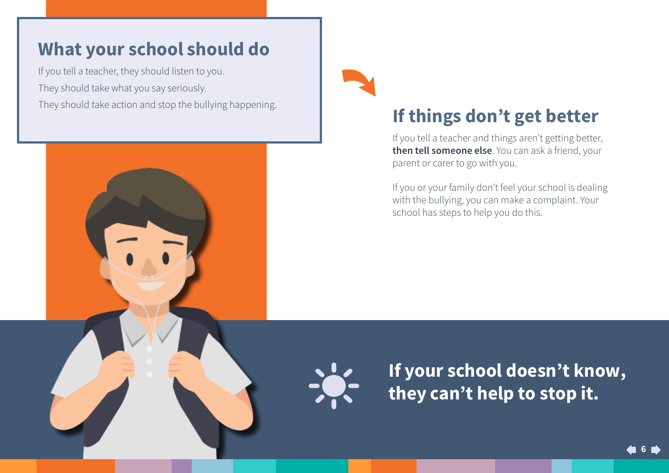#### **What your school should do**

If you tell a teacher, they should listen to you. They should take what you say seriously. They should take action and stop the bullying happening.



### **If things don't get better**

If you tell a teacher and things aren't getting better, **then tell someone else**. You can ask a friend, your parent or carer to go with you.

If you or your family don't feel your school is dealing with the bullying, you can make a complaint. Your school has steps to help you do this.

![](_page_5_Picture_7.jpeg)

**If your school doesn't know, they can't help to stop it.**